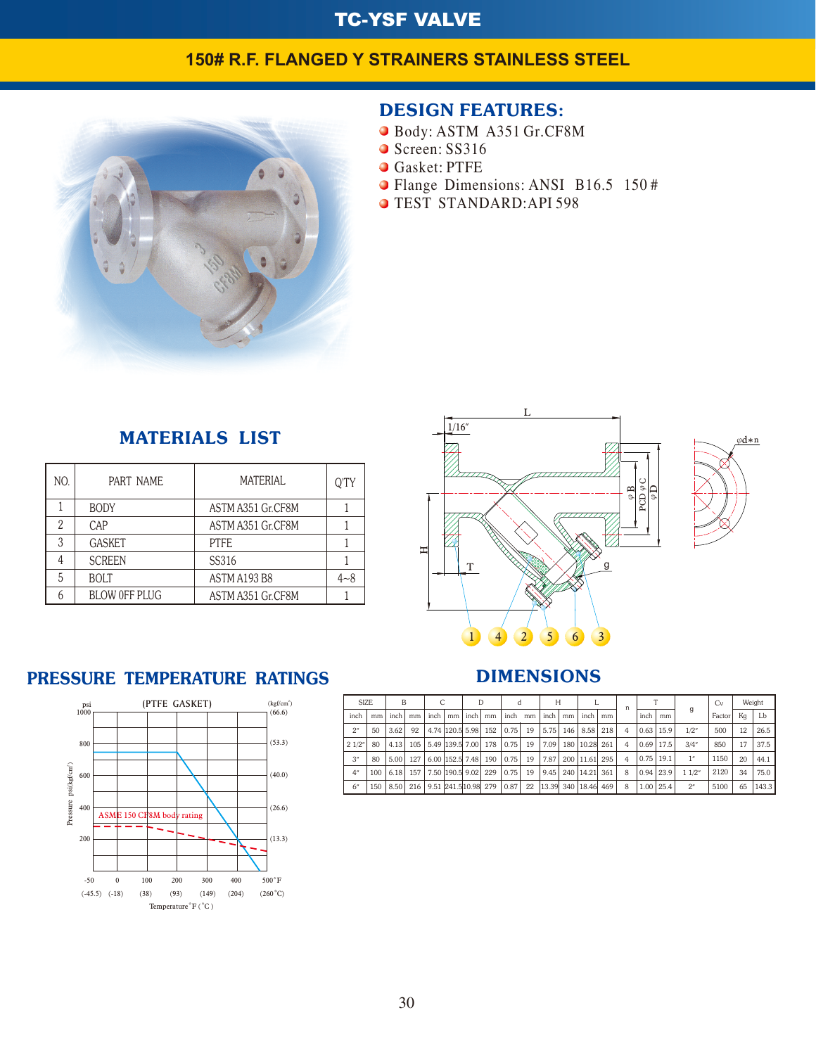## TC-YSF VALVE

## **150# R.F. FLANGED Y STRAINERS STAINLESS STEEL**



## DESIGN FEATURES:

- Body:ASTMA351Gr.CF8M
- Screen: SS316
- **Gasket: PTFE**
- Flange Dimensions: ANSI B16.5 150#
- **O TEST STANDARD:API 598**

| <b>MATERIALS LIST</b> |  |
|-----------------------|--|
|-----------------------|--|

| NO. | PART NAME            | <b>MATERIAL</b>   | O'TY    |
|-----|----------------------|-------------------|---------|
|     | <b>BODY</b>          | ASTM A351 Gr.CF8M |         |
| 2   | CAP                  | ASTM A351 Gr.CF8M |         |
| 3   | <b>GASKET</b>        | PTFF.             |         |
| 4   | <b>SCREEN</b>        | SS316             |         |
| 5   | <b>BOLT</b>          | ASTM A193 B8      | $4 - 8$ |
|     | <b>BLOW OFF PLUG</b> | ASTM A351 Gr.CF8M |         |

# PRESSURE TEMPERATURE RATINGS





## DIMENSIONS

| <b>SIZE</b> |     | B    |     |      |                      | D   |            |    | Н     |    |            |     | n |      |               |       |        | Cv |       | Weight |
|-------------|-----|------|-----|------|----------------------|-----|------------|----|-------|----|------------|-----|---|------|---------------|-------|--------|----|-------|--------|
| inch        | mm  | inch | mm  | inch | mm   inch            | mm  | inch       | mm | inch  | mm | inch l     | mm  |   | inch | mm            | g     | Factor | Κq | Lb    |        |
| 2"          | 50  | 3.62 | 92  |      | 4.74 120.5 5.98      |     | 152   0.75 | 19 | 5.75  |    | 146   8.58 | 218 | 4 |      | $0.63$   15.9 | 1/2"  | 500    | 12 | 26.5  |        |
| 21/2"       | 80  | 4.13 | 105 |      | 5.49 139.5 7.00      | 178 | 0.75       | 19 | 7.09  |    | 180 10.28  | 261 | 4 |      | $0.69$   17.5 | 3/4"  | 850    | 17 | 37.5  |        |
| 3"          | 80  | 5.00 | 127 |      | 6.00 152.5 7.48      |     | 190   0.75 | 19 | 7.87  |    | 200 11.61  | 295 | 4 |      | $0.75$   19.1 | 1"    | 1150   | 20 | 44.1  |        |
| 4"          | 100 | 6.18 | 157 |      | 7.50 190.5 9.02      | 229 | 0.75       | 19 | 9.45  |    | 240 14.21  | 361 | 8 |      | $0.94$ 23.9   | 11/2" | 2120   | 34 | 75.0  |        |
| 6"          | 150 | 8.50 | 216 |      | 9.51 241.5 10.98 279 |     | 0.87       | 22 | 13.39 |    | 340 18.46  | 469 | 8 | 1.00 | 125.4         | 2"    | 5100   | 65 | 143.3 |        |